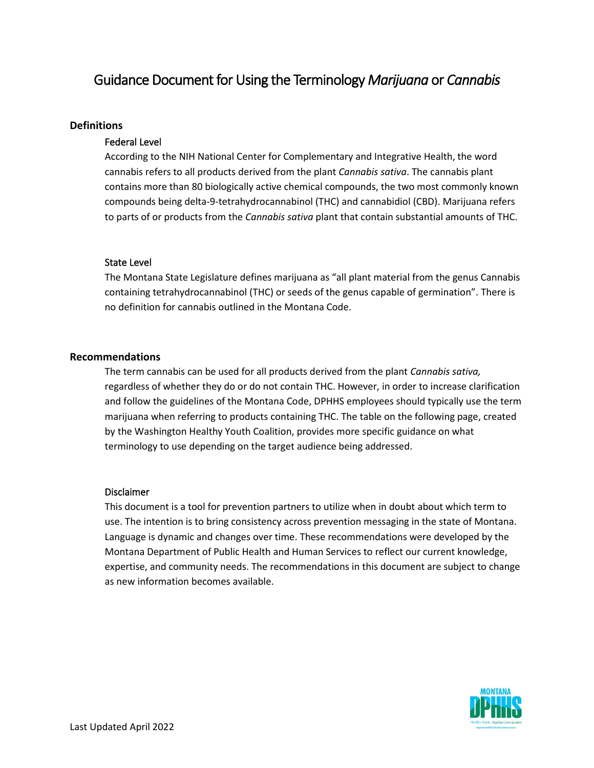# Guidance Document for Using the Terminology *Marijuana* or *Cannabis*

# **Definitions**

## Federal Level

According to the NIH National Center for Complementary and Integrative Health, the word cannabis refers to all products derived from the plant *Cannabis sativa*. The cannabis plant contains more than 80 biologically active chemical compounds, the two most commonly known compounds being delta-9-tetrahydrocannabinol (THC) and cannabidiol (CBD). Marijuana refers to parts of or products from the *Cannabis sativa* plant that contain substantial amounts of THC.

## State Level

The Montana State Legislature defines marijuana as "all plant material from the genus Cannabis containing tetrahydrocannabinol (THC) or seeds of the genus capable of germination". There is no definition for cannabis outlined in the Montana Code.

# **Recommendations**

The term cannabis can be used for all products derived from the plant *Cannabis sativa,*  regardless of whether they do or do not contain THC. However, in order to increase clarification and follow the guidelines of the Montana Code, DPHHS employees should typically use the term marijuana when referring to products containing THC. The table on the following page, created by the Washington Healthy Youth Coalition, provides more specific guidance on what terminology to use depending on the target audience being addressed.

## Disclaimer

This document is a tool for prevention partners to utilize when in doubt about which term to use. The intention is to bring consistency across prevention messaging in the state of Montana. Language is dynamic and changes over time. These recommendations were developed by the Montana Department of Public Health and Human Services to reflect our current knowledge, expertise, and community needs. The recommendations in this document are subject to change as new information becomes available.

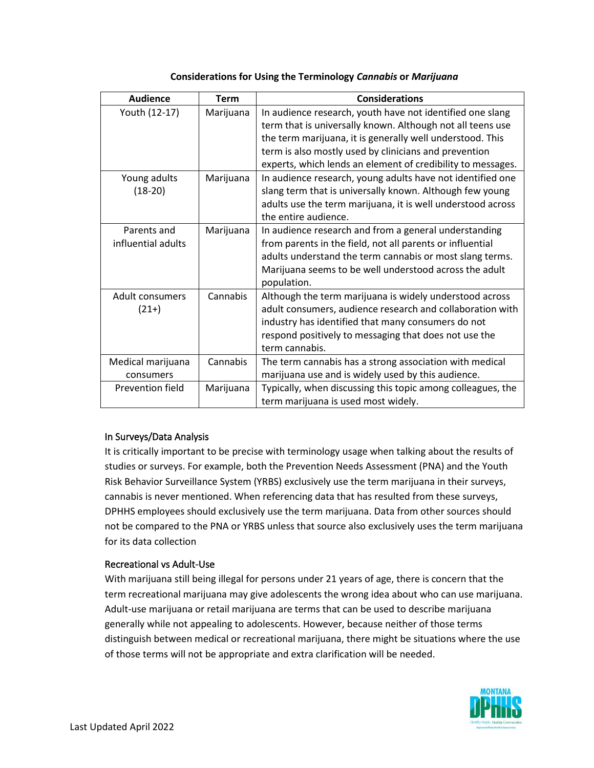| <b>Audience</b>        | <b>Term</b> | <b>Considerations</b>                                       |
|------------------------|-------------|-------------------------------------------------------------|
| Youth (12-17)          | Marijuana   | In audience research, youth have not identified one slang   |
|                        |             | term that is universally known. Although not all teens use  |
|                        |             | the term marijuana, it is generally well understood. This   |
|                        |             | term is also mostly used by clinicians and prevention       |
|                        |             | experts, which lends an element of credibility to messages. |
| Young adults           | Marijuana   | In audience research, young adults have not identified one  |
| $(18-20)$              |             | slang term that is universally known. Although few young    |
|                        |             | adults use the term marijuana, it is well understood across |
|                        |             | the entire audience.                                        |
| Parents and            | Marijuana   | In audience research and from a general understanding       |
| influential adults     |             | from parents in the field, not all parents or influential   |
|                        |             | adults understand the term cannabis or most slang terms.    |
|                        |             | Marijuana seems to be well understood across the adult      |
|                        |             | population.                                                 |
| <b>Adult consumers</b> | Cannabis    | Although the term marijuana is widely understood across     |
| $(21+)$                |             | adult consumers, audience research and collaboration with   |
|                        |             | industry has identified that many consumers do not          |
|                        |             | respond positively to messaging that does not use the       |
|                        |             | term cannabis.                                              |
| Medical marijuana      | Cannabis    | The term cannabis has a strong association with medical     |
| consumers              |             | marijuana use and is widely used by this audience.          |
| Prevention field       | Marijuana   | Typically, when discussing this topic among colleagues, the |
|                        |             | term marijuana is used most widely.                         |

#### **Considerations for Using the Terminology** *Cannabis* **or** *Marijuana*

## In Surveys/Data Analysis

It is critically important to be precise with terminology usage when talking about the results of studies or surveys. For example, both the Prevention Needs Assessment (PNA) and the Youth Risk Behavior Surveillance System (YRBS) exclusively use the term marijuana in their surveys, cannabis is never mentioned. When referencing data that has resulted from these surveys, DPHHS employees should exclusively use the term marijuana. Data from other sources should not be compared to the PNA or YRBS unless that source also exclusively uses the term marijuana for its data collection

## Recreational vs Adult-Use

With marijuana still being illegal for persons under 21 years of age, there is concern that the term recreational marijuana may give adolescents the wrong idea about who can use marijuana. Adult-use marijuana or retail marijuana are terms that can be used to describe marijuana generally while not appealing to adolescents. However, because neither of those terms distinguish between medical or recreational marijuana, there might be situations where the use of those terms will not be appropriate and extra clarification will be needed.

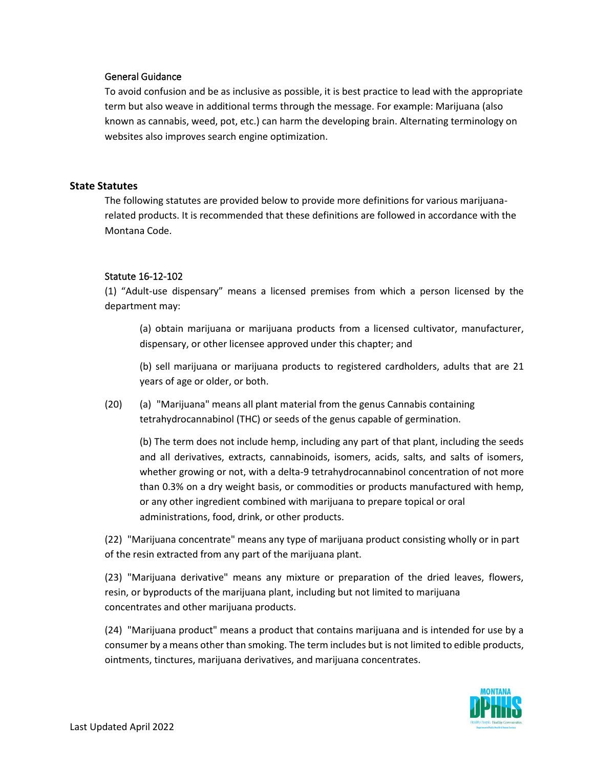#### General Guidance

To avoid confusion and be as inclusive as possible, it is best practice to lead with the appropriate term but also weave in additional terms through the message. For example: Marijuana (also known as cannabis, weed, pot, etc.) can harm the developing brain. Alternating terminology on websites also improves search engine optimization.

## **State Statutes**

The following statutes are provided below to provide more definitions for various marijuanarelated products. It is recommended that these definitions are followed in accordance with the Montana Code.

#### Statute 16-12-102

(1) "Adult-use dispensary" means a licensed premises from which a person licensed by the department may:

(a) obtain marijuana or marijuana products from a licensed cultivator, manufacturer, dispensary, or other licensee approved under this chapter; and

(b) sell marijuana or marijuana products to registered cardholders, adults that are 21 years of age or older, or both.

(20) (a) "Marijuana" means all plant material from the genus Cannabis containing tetrahydrocannabinol (THC) or seeds of the genus capable of germination.

(b) The term does not include hemp, including any part of that plant, including the seeds and all derivatives, extracts, cannabinoids, isomers, acids, salts, and salts of isomers, whether growing or not, with a delta-9 tetrahydrocannabinol concentration of not more than 0.3% on a dry weight basis, or commodities or products manufactured with hemp, or any other ingredient combined with marijuana to prepare topical or oral administrations, food, drink, or other products.

(22) "Marijuana concentrate" means any type of marijuana product consisting wholly or in part of the resin extracted from any part of the marijuana plant.

(23) "Marijuana derivative" means any mixture or preparation of the dried leaves, flowers, resin, or byproducts of the marijuana plant, including but not limited to marijuana concentrates and other marijuana products.

(24) "Marijuana product" means a product that contains marijuana and is intended for use by a consumer by a means other than smoking. The term includes but is not limited to edible products, ointments, tinctures, marijuana derivatives, and marijuana concentrates.